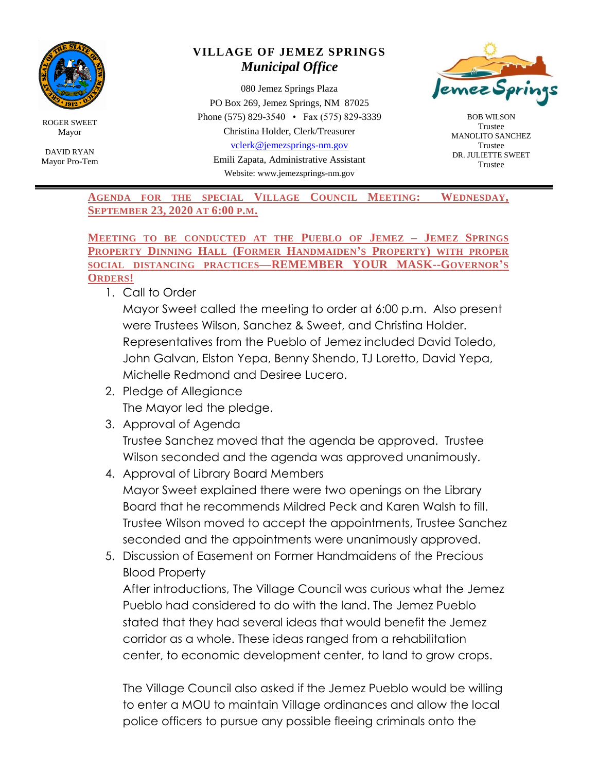

ROGER SWEET Mayor

DAVID RYAN Mayor Pro-Tem

## **VILLAGE OF JEMEZ SPRINGS** *Municipal Office*

080 Jemez Springs Plaza PO Box 269, Jemez Springs, NM 87025 Phone (575) 829-3540 • Fax (575) 829-3339 Christina Holder, Clerk/Treasurer [vclerk@jemezsprings-nm.gov](mailto:vclerk@jemezsprings-nm.gov)

> Emili Zapata, Administrative Assistant Website: www.jemezsprings-nm.gov



BOB WILSON Trustee MANOLITO SANCHEZ Trustee DR. JULIETTE SWEET Trustee

**AGENDA FOR THE SPECIAL VILLAGE COUNCIL MEETING: WEDNESDAY, SEPTEMBER 23, 2020 AT 6:00 P.M.**

**MEETING TO BE CONDUCTED AT THE PUEBLO OF JEMEZ – JEMEZ SPRINGS PROPERTY DINNING HALL (FORMER HANDMAIDEN'S PROPERTY) WITH PROPER SOCIAL DISTANCING PRACTICES—REMEMBER YOUR MASK--GOVERNOR'S ORDERS!**

1. Call to Order

Mayor Sweet called the meeting to order at 6:00 p.m. Also present were Trustees Wilson, Sanchez & Sweet, and Christina Holder. Representatives from the Pueblo of Jemez included David Toledo, John Galvan, Elston Yepa, Benny Shendo, TJ Loretto, David Yepa, Michelle Redmond and Desiree Lucero.

- 2. Pledge of Allegiance The Mayor led the pledge.
- 3. Approval of Agenda Trustee Sanchez moved that the agenda be approved. Trustee Wilson seconded and the agenda was approved unanimously.
- 4. Approval of Library Board Members Mayor Sweet explained there were two openings on the Library Board that he recommends Mildred Peck and Karen Walsh to fill. Trustee Wilson moved to accept the appointments, Trustee Sanchez seconded and the appointments were unanimously approved.
- 5. Discussion of Easement on Former Handmaidens of the Precious Blood Property

After introductions, The Village Council was curious what the Jemez Pueblo had considered to do with the land. The Jemez Pueblo stated that they had several ideas that would benefit the Jemez corridor as a whole. These ideas ranged from a rehabilitation center, to economic development center, to land to grow crops.

The Village Council also asked if the Jemez Pueblo would be willing to enter a MOU to maintain Village ordinances and allow the local police officers to pursue any possible fleeing criminals onto the